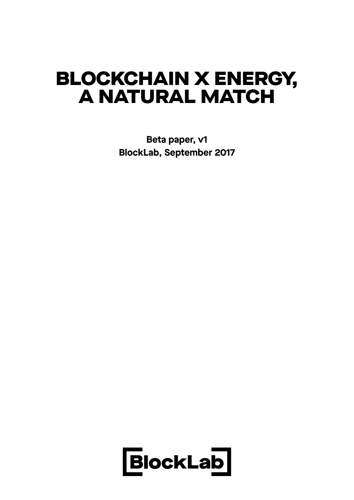# BLOCKCHAIN X ENERGY, A NATURAL MATCH

**Beta paper, v1 BlockLab, September 2017**

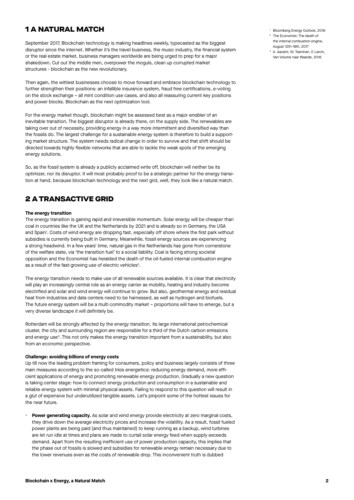## 1 A NATURAL MATCH

September 2017. Blockchain technology is making headlines weekly, typecasted as the biggest disruptor since the internet. Whether it's the travel business, the music industry, the financial system or the real estate market, business managers worldwide are being urged to prep for a major shakedown. Cut out the middle men, overpower the moguls, clean up corrupted market structures - blockchain as the new revolutionary.

Then again, the wittiest businesses choose to move forward and embrace blockchain technology to further strengthen their positions: an infallible insurance system, fraud free certifications, e-voting on the stock exchange – all mint condition use cases, and also all reassuring current key positions and power blocks. Blockchain as the next optimization tool.

For the energy market though, blockchain might be assessed best as a major *enabler* of an inevitable transition. The biggest disruptor is already there, on the supply side. The renewables are taking over out of necessity, providing energy in a way more intermittent and diversified way than the fossils do. The largest challenge for a sustainable energy system is therefore to build a supporting market structure. The system needs radical change in order to survive and that shift should be directed towards highly flexible networks that are able to tackle the weak spots of the emerging energy solutions.

So, as the fossil system is already a publicly acclaimed write off, blockchain will neither be its optimizer, nor its disruptor. It will most probably proof to be a strategic partner for the energy transition at hand, because blockchain technology and the next grid, well, they look like a natural match.

## 2 A TRANSACTIVE GRID

#### **The energy transition**

The energy transition is gaining rapid and irreversible momentum. Solar energy will be cheaper than coal in countries like the UK and the Netherlands by 2021 and is already so in Germany, the USA and Spain<sup>1</sup>. Costs of wind energy are dropping fast, especially off shore where the first park without subsidies is currently being built in Germany. Meanwhile, fossil energy sources are experiencing a strong headwind. In a few years' time, natural gas in the Netherlands has gone from cornerstone of the welfare state, via 'the transition fuel' to a social liability. Coal is facing strong societal opposition and the Economist has heralded the death of the oil-fueled internal combustion engine as a result of the fast-growing use of electric vehicles<sup>2</sup>.

The energy transition needs to make use of all renewable sources available. It is clear that electricity will play an increasingly central role as an energy carrier as mobility, heating and industry become electrified and solar and wind energy will continue to grow. But also, geothermal energy and residual heat from industries and data centers need to be harnessed, as well as hydrogen and biofuels. The future energy system will be a multi commodity market – proportions will have to emerge, but a very diverse landscape it will definitely be.

Rotterdam will be strongly affected by the energy transition. Its large international petrochemical cluster, the city and surrounding region are responsible for a third of the Dutch carbon emissions and energy use<sup>3</sup>. This not only makes the energy transition important from a sustainability, but also from an economic perspective.

#### **Challenge: avoiding billions of energy costs**

Up till now the leading problem framing for consumers, policy and business largely consists of three main measures according to the so-called *trias energetica*: reducing energy demand, more efficient applications of energy and promoting renewable energy production. Gradually a new question is taking center stage: how to connect energy production and consumption in a sustainable and reliable energy system with minimal physical assets. Failing to respond to this question will result in a glut of expensive but underutilized tangible assets. Let's pinpoint some of the hottest issues for the near future.

**Power generating capacity.** As solar and wind energy provide electricity at zero marginal costs, they drive down the average electricity prices and increase the volatility. As a result, fossil fueled power plants are being paid (and thus maintained) to keep running as a backup, wind turbines are let run idle at times and plans are made to curtail solar energy feed when supply exceeds demand. Apart from the resulting inefficient use of power production capacity, this implies that the phase out of fossils is slowed and subsidies for renewable energy remain necessary due to the lower revenues even as the costs of renewable drop. This inconvenient truth is dubbed

- <sup>1</sup> Bloomberg Energy Outlook, 2016 <sup>2</sup> The Economist, The death of
- the internal combustion engine, August 12th-18th, 2017
- <sup>3</sup> A. Aazami, M. Taanman, O Larcin, Van Volume naar Waarde, 2016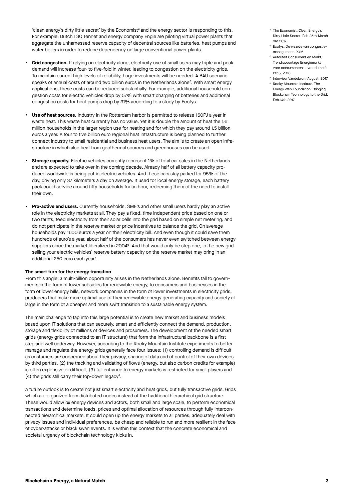'clean energy's dirty little secret' by the Economist<sup>4</sup> and the energy sector is responding to this. For example, Dutch TSO Tennet and energy company Engie are piloting virtual power plants that aggregate the unharnessed reserve capacity of decentral sources like batteries, heat pumps and water boilers in order to reduce dependency on large conventional power plants.

- **Grid congestion.** If relying on electricity alone, electricity use of small users may triple and peak demand will increase four- to five-fold in winter, leading to congestion on the electricity grids. To maintain current high levels of reliability, huge investments will be needed. A BAU scenario speaks of annual costs of around two billion euros in the Netherlands alone<sup>5</sup>. With smart energy applications, these costs can be reduced substantially. For example, additional household congestion costs for electric vehicles drop by 57% with smart charging of batteries and additional congestion costs for heat pumps drop by 31% according to a study by Ecofys.
- **Use of heat sources.** Industry in the Rotterdam harbor is permitted to release 150PJ a year in waste heat. This waste heat currently has no value. Yet it is double the amount of heat the 1.6 million households in the larger region use for heating and for which they pay around 1.5 billion euros a year. A four to five billion euro regional heat infrastructure is being planned to further connect industry to small residential and business heat users. The aim is to create an open infrastructure in which also heat from geothermal sources and greenhouses can be used.
- **Storage capacity.** Electric vehicles currently represent 1% of total car sales in the Netherlands and are expected to take over in the coming decade. Already half of all battery capacity produced worldwide is being put in electric vehicles. And these cars stay parked for 95% of the day, driving only 37 kilometers a day on average. If used for local energy storage, each battery pack could service around fifty households for an hour, redeeming them of the need to install their own.
- **Pro-active end users.** Currently households, SME's and other small users hardly play an active role in the electricity markets at all. They pay a fixed, time independent price based on one or two tariffs, feed electricity from their solar cells into the grid based on simple net metering, and do not participate in the reserve market or price incentives to balance the grid. On average households pay 1600 euro's a year on their electricity bill. And even though it could save them hundreds of euro's a year, about half of the consumers has never even switched between energy suppliers since the market liberalized in 2004<sup>6</sup>. And that would only be step one, in the new grid selling your electric vehicles' reserve battery capacity on the reserve market may bring in an additional 250 euro each year<sup>7</sup>.

#### **The smart turn for the energy transition**

From this angle, a multi-billion opportunity arises in the Netherlands alone. Benefits fall to governments in the form of lower subsidies for renewable energy, to consumers and businesses in the form of lower energy bills, network companies in the form of lower investments in electricity grids, producers that make more optimal use of their renewable energy generating capacity and society at large in the form of a cheaper and more swift transition to a sustainable energy system.

The main challenge to tap into this large potential is to create new market and business models based upon IT solutions that can securely, smart and efficiently connect the demand, production, storage and flexibility of millions of devices and prosumers. The development of the needed smart grids (energy grids connected to an IT structure) that form the infrastructural backbone is a first step and well underway. However, according to the Rocky Mountain Institute experiments to better manage and regulate the energy grids generally face four issues: (1) controlling demand is difficult as costumers are concerned about their privacy, sharing of data and of control of their own devices by third parties, (2) the tracking and validating of flows (energy, but also carbon credits for example) is often expensive or difficult, (3) full entrance to energy markets is restricted for small players and (4) the grids still carry their top-down legacy<sup>8</sup>.

A future outlook is to create not just smart electricity and heat grids, but fully transactive grids. Grids which are organized from distributed nodes instead of the traditional hierarchical grid structure. These would allow *all* energy devices and actors, both small and large scale, to perform economical transactions and determine loads, prices and optimal allocation of resources through fully interconnected hierarchical markets. It could open up the energy markets to all parties, adequately deal with privacy issues and individual preferences, be cheap and reliable to run and more resilient in the face of cyber-attacks or black swan events. It is within this context that the concrete economical and societal urgency of blockchain technology kicks in.

- 4 The Economist, Clean Energy's Dirty Little Secret, Feb 25th-March 3rd 2017
- 5 Ecofys, De waarde van congestiemanagement, 2016
- 6 Autoriteit Consument en Markt, Trendrapportage Energiemarkt voor consumenten – tweede helft 2015, 2016
- <sup>7</sup> Interview Vandebron, August, 2017 8 Rocky Mountain Institute, The
- Energy Web Foundation: Bringing Blockchain Technology to the Grid, Feb 14th 2017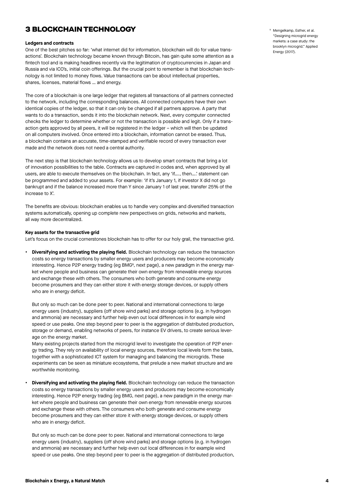## 3 BLOCKCHAIN TECHNOLOGY

#### **Ledgers and contracts**

One of the best pitches so far: 'what internet did for information, blockchain will do for value transactions'. Blockchain technology became known through Bitcoin, has gain quite some attention as a fintech tool and is making headlines recently via the legitimation of cryptocurrencies in Japan and Russia and via ICO's, initial coin offerings. But the crucial point to remember is that blockchain technology is not limited to money flows. Value transactions can be about intellectual properties, shares, licenses, material flows … and energy.

The core of a blockchain is one large ledger that registers all transactions of all partners connected to the network, including the corresponding balances. All connected computers have their own identical copies of the ledger, so that it can only be changed if all partners approve. A party that wants to do a transaction, sends it into the blockchain network. Next, every computer connected checks the ledger to determine whether or not the transaction is possible and legit. Only if a transaction gets approved by all peers, it will be registered in the ledger – which will then be updated on all computers involved. Once entered into a blockchain, information cannot be erased. Thus, a blockchain contains an accurate, time-stamped and verifiable record of every transaction ever made and the network does not need a central authority.

The next step is that blockchain technology allows us to develop smart contracts that bring a lot of innovation possibilities to the table. Contracts are captured in codes and, when approved by all users, are able to execute themselves on the blockchain. In fact, any 'if…., then….' statement can be programmed and added to your assets. For example: 'if it's January 1, if investor X did not go bankrupt and if the balance increased more than Y since January 1 of last year, transfer 25% of the increase to X'.

The benefits are obvious: blockchain enables us to handle very complex and diversified transaction systems automatically, opening up complete new perspectives on grids, networks and markets, all way more decentralized.

#### **Key assets for the transactive grid**

Let's focus on the crucial cornerstones blockchain has to offer for our holy grail, the transactive grid.

**• Diversifying and activating the playing field.** Blockchain technology can reduce the transaction costs so energy transactions by smaller energy users and producers may become economically interesting. Hence P2P energy trading (eg BMG<sup>9</sup>, next page), a new paradigm in the energy market where people and business can generate their own energy from renewable energy sources and exchange these with others. The consumers who both generate and consume energy become prosumers and they can either store it with energy storage devices, or supply others who are in energy deficit.

 But only so much can be done peer to peer. National and international connections to large energy users (industry), suppliers (off shore wind parks) and storage options (e.g. in hydrogen and ammonia) are necessary and further help even out local differences in for example wind speed or use peaks. One step beyond peer to peer is the aggregation of distributed production, storage or demand, enabling networks of peers, for instance EV drivers, to create serious leverage on the energy market.

 Many existing projects started from the microgrid level to investigate the operation of P2P energy trading. They rely on availability of local energy sources, therefore local levels form the basis, together with a sophisticated ICT system for managing and balancing the microgrids. These experiments can be seen as miniature ecosystems, that prelude a new market structure and are worthwhile monitoring.

**• Diversifying and activating the playing field.** Blockchain technology can reduce the transaction costs so energy transactions by smaller energy users and producers may become economically interesting. Hence P2P energy trading (eg BMG, next page), a new paradigm in the energy market where people and business can generate their own energy from renewable energy sources and exchange these with others. The consumers who both generate and consume energy become prosumers and they can either store it with energy storage devices, or supply others who are in energy deficit.

 But only so much can be done peer to peer. National and international connections to large energy users (industry), suppliers (off shore wind parks) and storage options (e.g. in hydrogen and ammonia) are necessary and further help even out local differences in for example wind speed or use peaks. One step beyond peer to peer is the aggregation of distributed production,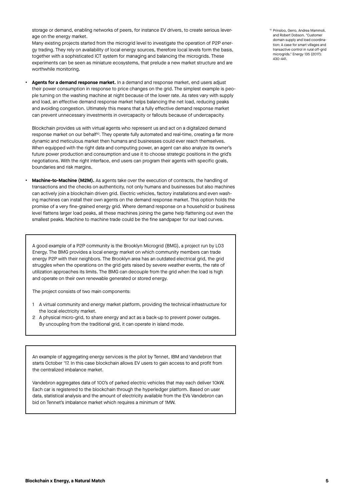storage or demand, enabling networks of peers, for instance EV drivers, to create serious leverage on the energy market.

 Many existing projects started from the microgrid level to investigate the operation of P2P energy trading. They rely on availability of local energy sources, therefore local levels form the basis, together with a sophisticated ICT system for managing and balancing the microgrids. These experiments can be seen as miniature ecosystems, that prelude a new market structure and are worthwhile monitoring.

**• Agents for a demand response market.** In a demand and response market, end users adjust their power consumption in response to price changes on the grid. The simplest example is people turning on the washing machine at night because of the lower rate. As rates vary with supply and load, an effective demand response market helps balancing the net load, reducing peaks and avoiding congestion. Ultimately this means that a fully effective demand response market can prevent unnecessary investments in overcapacity or fallouts because of undercapacity.

 Blockchain provides us with virtual agents who represent us and act on a digitalized demand response market on our behalf<sup>10</sup>. They operate fully automated and real-time, creating a far more dynamic and meticulous market then humans and businesses could ever reach themselves. When equipped with the right data and computing power, an agent can also analyze its owner's future power production and consumption and use it to choose strategic positions in the grid's negotiations. With the right interface, end users can program their agents with specific goals, boundaries and risk margins.

**• Machine-to-Machine (M2M).** As agents take over the execution of contracts, the handling of transactions and the checks on authenticity, not only humans and businesses but also machines can actively join a blockchain driven grid. Electric vehicles, factory installations and even washing machines can install their own agents on the demand response market. This option holds the promise of a very fine-grained energy grid. Where demand response on a household or business level flattens larger load peaks, all these machines joining the game help flattening out even the smallest peaks. Machine to machine trade could be the fine sandpaper for our load curves.

A good example of a P2P community is the Brooklyn Microgrid (BMG), a project run by LO3 Energy. The BMG provides a local energy market on which community members can trade energy P2P with their neighbors. The Brooklyn area has an outdated electrical grid, the grid struggles when the operations on the grid gets raised by severe weather events, the rate of utilization approaches its limits. The BMG can decouple from the grid when the load is high and operate on their own renewable generated or stored energy.

The project consists of two main components:

- 1 A virtual community and energy market platform, providing the technical infrastructure for the local electricity market.
- 2 A physical micro-grid, to share energy and act as a back-up to prevent power outages. By uncoupling from the traditional grid, it can operate in island mode.

An example of aggregating energy services is the pilot by Tennet, IBM and Vandebron that starts October '17. In this case blockchain allows EV users to gain access to and profit from the centralized imbalance market.

Vandebron aggregates data of 100's of parked electric vehicles that may each deliver 10kW. Each car is registered to the blockchain through the hyperledger platform. Based on user data, statistical analysis and the amount of electricity available from the EVs Vandebron can bid on Tennet's imbalance market which requires a minimum of 1MW.

<sup>10</sup> Prinsloo, Gerro, Andrea Mammoli, and Robert Dobson. "Customer domain supply and load coordination: A case for smart villages and transactive control in rural off-grid microgrids." Energy 135 (2017): 430-441.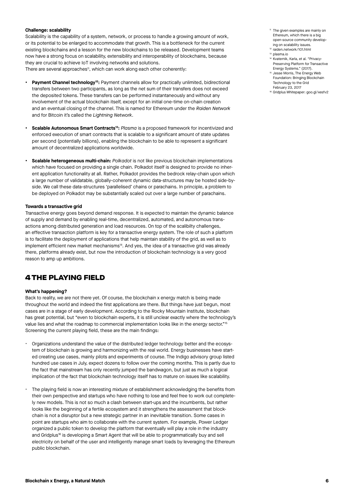#### **Challenge: scalability**

Scalability is the capability of a system, network, or process to handle a growing amount of work, or its potential to be enlarged to accommodate that growth. This is a bottleneck for the current existing blockchains and a lesson for the new blockchains to be released. Development teams now have a strong focus on scalability, extensibility and interoperability of blockchains, because they are crucial to achieve IoT involving networks and solutions.

There are several approaches<sup>11</sup>, which can work along each other coherently:

- **Payment Channel technology<sup>12</sup>:** Payment channels allow for practically unlimited, bidirectional transfers between two participants, as long as the net sum of their transfers does not exceed the deposited tokens. These transfers can be performed instantaneously and without any involvement of the actual blockchain itself, except for an initial one-time on-chain creation and an eventual closing of the channel. This is named for Ethereum under the *Raiden Network* and for Bitcoin it's called the *Lightning Network*.
- **Scalable Autonomous Smart Contracts<sup>13</sup>:** *Plasma* is a proposed framework for incentivized and enforced execution of smart contracts that is scalable to a significant amount of state updates per second (potentially billions), enabling the blockchain to be able to represent a significant amount of decentralized applications worldwide.
- **Scalable heterogeneous multi-chain:** *Polkadot* is not like previous blockchain implementations which have focused on providing a single chain. Polkadot itself is designed to provide no inherent application functionality at all. Rather, Polkadot provides the bedrock relay-chain upon which a large number of validatable, globally-coherent dynamic data-structures may be hosted side-byside. We call these data-structures 'parallelised' chains or parachains. In principle, a problem to be deployed on Polkadot may be substantially scaled out over a large number of parachains.

#### **Towards a transactive grid**

Transactive energy goes beyond demand response. It is expected to maintain the dynamic balance of supply and demand by enabling real-time, decentralized, automated, and autonomous transactions among distributed generation and load resources. On top of the scalibilty challenges, an effective transaction platform is key for a transactive energy system. The role of such a platform is to facilitate the deployment of applications that help maintain stability of the grid, as well as to implement efficient new market mechanisms<sup>14</sup>. And yes, the idea of a transactive grid was already there, platforms already exist, but now the introduction of blockchain technology is a very good reason to amp up ambitions.

### 4 THE PLAYING FIELD

#### **What's happening?**

Back to reality, we are not there yet. Of course, the blockchain x energy match is being made throughout the world and indeed the first applications are there. But things have just begun, most cases are in a stage of early development. According to the Rocky Mountain Institute, blockchain has great potential, but "even to blockchain experts, it is still unclear exactly where the technology's value lies and what the roadmap to commercial implementation looks like in the energy sector."15 Screening the current playing field, these are the main findings:

- Organizations understand the value of the distributed ledger technology better and the ecosystem of blockchain is growing and harmonizing with the real world. Energy businesses have started creating use cases, mainly pilots and experiments of course. The Indigo advisory group listed hundred use cases in July, expect dozens to follow over the coming months. This is partly due to the fact that mainstream has only recently jumped the bandwagon, but just as much a logical implication of the fact that blockchain technology itself has to mature on issues like scalability.
- The playing field is now an interesting mixture of establishment acknowledging the benefits from their own perspective and startups who have nothing to lose and feel free to work out completely new models. This is not so much a clash between start-ups and the incumbents, but rather looks like the beginning of a fertile ecosystem and it strengthens the assessment that blockchain is not a disruptor but a new strategic partner in an inevitable transition. Some cases in point are startups who aim to collaborate with the current system. For example, Power Ledger organized a public token to develop the platform that eventually will play a role in the industry and Gridplus<sup>16</sup> is developing a Smart Agent that will be able to programmatically buy and sell electricity on behalf of the user and intelligently manage smart loads by leveraging the Ethereum public blockchain.
- <sup>11</sup> The given examples are mainly on Ethereum, which there is a big open-source community developing on scalability issues.
- 12 raiden.network/101.html
- 13 plasma.io 14 Kvaternik, Karla, et al. "Privacy-Preserving Platform for Transactive Energy Systems." (2017).
- 15 Jesse Morris, The Energy Web Foundation: Bringing Blockchain Technology to the Grid February 23, 2017
- 16 Gridplus Whitepaper: goo.gl/xesfv2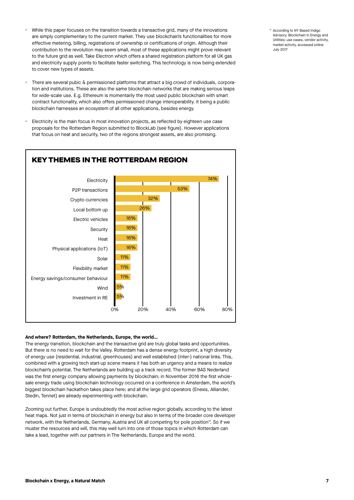- While this paper focuses on the transition towards a transactive grid, many of the innovations are simply complementary to the current market. They use blockchain's functionalities for more effective metering, billing, registrations of ownership or certifications of origin. Although their contribution to the revolution may seem small, most of these applications might prove relevant to the future grid as well. Take Electron which offers a shared registration platform for all UK gas and electricity supply points to facilitate faster switching. This technology is now being extended to cover new types of assets.
- There are several pubic & permissioned platforms that attract a big crowd of individuals, corporation and institutions. These are also the same blockchain networks that are making serious leaps for wide-scale use. E.g. Ethereum is momentarily the most used public blockchain with smart contract functionality, which also offers permissioned change interoperability. It being a public blockchain harnesses an ecosystem of all other applications, besides energy.
- Electricity is the main focus in most innovation projects, as reflected by eighteen use case proposals for the Rotterdam Region submitted to BlockLab (see figure). However applications that focus on heat and security, two of the regions strongest assets, are also promising.



#### **And where? Rotterdam, the Netherlands, Europe, the world…**

The energy transition, blockchain and the transactive grid are truly global tasks and opportunities. But there is no need to wait for the Valley. Rotterdam has a dense energy footprint, a high diversity of energy use (residential, industrial, greenhouses) and well established (inter-) national links. This, combined with a growing tech start-up scene means it has both an urgency and a means to realize blockchain's potential. The Netherlands are building up a track record. The former BAS Nederland was the first energy company allowing payments by blockchain; in November 2016 the first wholesale energy trade using blockchain technology occurred on a conference in Amsterdam, the world's biggest blockchain hackathon takes place here; and all the large grid operators (Enexis, Alliander, Stedin, Tennet) are already experimenting with blockchain.

Zooming out further, Europe is undoubtedly the most active region globally, according to the latest heat maps. Not just in terms of blockchain in energy but also in terms of the broader core developer network, with the Netherlands, Germany, Austria and UK all competing for pole position<sup>17</sup>. So if we muster the resources and will, this may well turn into one of those topics in which Rotterdam can take a lead, together with our partners in The Netherlands, Europe and the world.

17 According to NY Based Indigo Advisory, Blockchain in Energy and Utilities; use cases, vendor activity, market activity, accessed online July 2017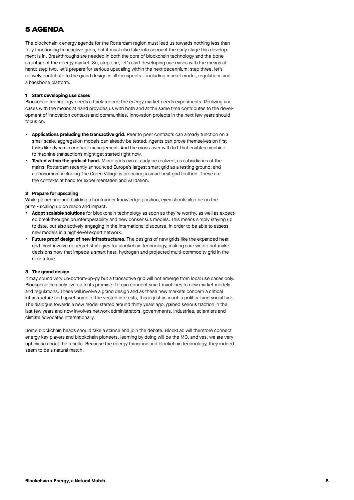## 5 AGENDA

The blockchain x energy agenda for the Rotterdam region must lead us towards nothing less than fully functioning transactive grids, but it must also take into account the early stage this development is in. Breakthroughs are needed in both the core of blockchain technology and the bone structure of the energy market. So, step one, let's start developing use cases with the means at hand; step two, let's prepare for serious upscaling within the next decennium; step three, let's actively contribute to the grand design in all its aspects – including market model, regulations and a backbone platform.

#### **1 Start developing use cases**

Blockchain technology needs a track record; the energy market needs experiments. Realizing use cases with the means at hand provides us with both and at the same time contributes to the development of innovation contexts and communities. Innovation projects in the next few years should focus on:

- **Applications preluding the transactive grid.** Peer to peer contracts can already function on a small scale, aggregation models can already be tested. Agents can prove themselves on first tasks like dynamic contract management. And the cross-over with IoT that enables machine to machine transactions might get started right now.
- **Tested within the grids at hand.** Micro grids can already be realized, as subsidiaries of the mains; Rotterdam recently announced Europe's largest smart grid as a testing ground; and a consortium including The Green Village is preparing a smart heat grid testbed. These are the contexts at hand for experimentation and validation.

#### **2 Prepare for upscaling**

While pioneering and building a frontrunner knowledge position, eyes should also be on the prize - scaling up on reach and impact:

- **Adopt scalable solutions** for blockchain technology as soon as they're worthy, as well as expected breakthroughs on interoperability and new consensus models. This means simply staying up to date, but also actively engaging in the international discourse, in order to be able to assess new models in a high-level expert network.
- **Future proof design of new infrastructures.** The designs of new grids like the expanded heat grid must involve no regret strategies for blockchain technology, making sure we do not make decisions now that impede a smart heat, hydrogen and projected multi-commodity grid in the near future.

#### **3 The grand design**

It may sound very un-bottom-up-py but a transactive grid will not emerge from local use cases only. Blockchain can only live up to its promise if it can connect smart machines to new market models and regulations. These will involve a grand design and as these new markets concern a critical infrastructure and upset some of the vested interests, this is just as much a political and social task. The dialogue towards a new model started around thirty years ago, gained serious traction in the last few years and now involves network administrators, governments, industries, scientists and climate advocates internationally.

Some blockchain heads should take a stance and join the debate. BlockLab will therefore connect energy key players and blockchain pioneers, learning by doing will be the MO, and yes, we are very optimistic about the results. Because the energy transition and blockchain technology, they indeed seem to be a natural match.